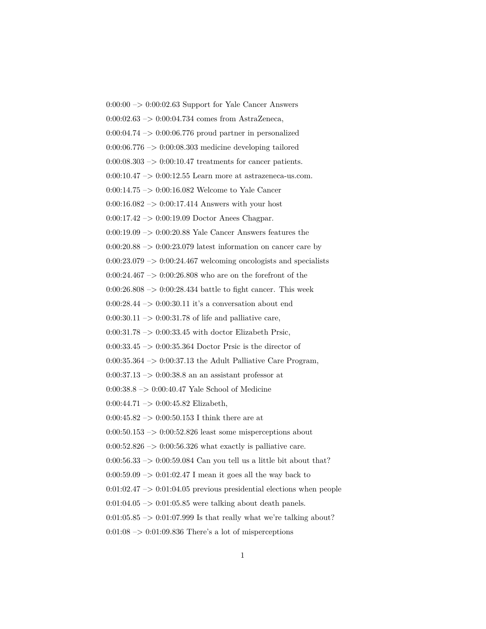$0:00:00 \rightarrow 0:00:02.63$  Support for Yale Cancer Answers  $0:00:02.63 \rightarrow 0:00:04.734$  comes from AstraZeneca,  $0:00:04.74 \rightarrow 0:00:06.776$  proud partner in personalized  $0:00:06.776 \rightarrow 0:00:08.303$  medicine developing tailored  $0:00:08.303 \rightarrow 0:00:10.47$  treatments for cancer patients.  $0:00:10.47 \rightarrow 0:00:12.55$  Learn more at astrazeneca-us.com. 0:00:14.75  $\rightarrow$  0:00:16.082 Welcome to Yale Cancer  $0:00:16.082 \rightarrow 0:00:17.414$  Answers with your host 0:00:17.42 –> 0:00:19.09 Doctor Anees Chagpar. 0:00:19.09 –> 0:00:20.88 Yale Cancer Answers features the  $0:00:20.88 \rightarrow 0:00:23.079$  latest information on cancer care by  $0:00:23.079 \rightarrow 0:00:24.467$  welcoming oncologists and specialists 0:00:24.467  $->$  0:00:26.808 who are on the forefront of the  $0:00:26.808 \rightarrow 0:00:28.434$  battle to fight cancer. This week 0:00:28.44  $\rightarrow$  0:00:30.11 it's a conversation about end  $0:00:30.11 \rightarrow 0:00:31.78$  of life and palliative care,  $0:00:31.78 \rightarrow 0:00:33.45$  with doctor Elizabeth Prsic, 0:00:33.45 –> 0:00:35.364 Doctor Prsic is the director of  $0:00:35.364 \rightarrow 0:00:37.13$  the Adult Palliative Care Program,  $0:00:37.13 \rightarrow 0:00:38.8$  an an assistant professor at 0:00:38.8 –> 0:00:40.47 Yale School of Medicine  $0:00:44.71 \rightarrow 0:00:45.82$  Elizabeth, 0:00:45.82  $\rightarrow$  0:00:50.153 I think there are at  $0:00:50.153 \rightarrow 0:00:52.826$  least some misperceptions about  $0:00:52.826 \rightarrow 0:00:56.326$  what exactly is palliative care.  $0:00:56.33 \rightarrow 0:00:59.084$  Can you tell us a little bit about that?  $0:00:59.09 \rightarrow 0:01:02.47$  I mean it goes all the way back to  $0:01:02.47 \rightarrow 0:01:04.05$  previous presidential elections when people  $0:01:04.05 \rightarrow 0:01:05.85$  were talking about death panels.  $0:01:05.85 \rightarrow 0:01:07.999$  Is that really what we're talking about?  $0:01:08 \rightarrow 0:01:09.836$  There's a lot of misperceptions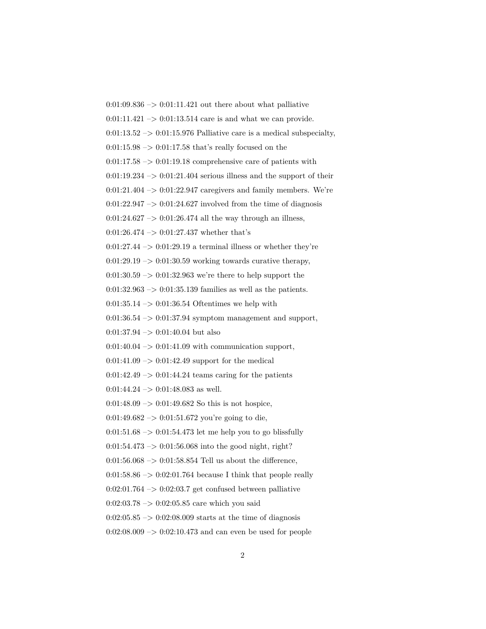$0:01:09.836 \rightarrow 0:01:11.421$  out there about what palliative  $0:01:11.421 \rightarrow 0:01:13.514$  care is and what we can provide.  $0:01:13.52 \rightarrow 0:01:15.976$  Palliative care is a medical subspecialty,  $0:01:15.98 \rightarrow 0:01:17.58$  that's really focused on the  $0:01:17.58 \rightarrow 0:01:19.18$  comprehensive care of patients with  $0:01:19.234 \rightarrow 0:01:21.404$  serious illness and the support of their  $0:01:21.404 \rightarrow 0:01:22.947$  caregivers and family members. We're  $0:01:22.947 \rightarrow 0:01:24.627$  involved from the time of diagnosis  $0:01:24.627 \rightarrow 0:01:26.474$  all the way through an illness,  $0:01:26.474 \rightarrow 0:01:27.437$  whether that's  $0:01:27.44 \rightarrow 0:01:29.19$  a terminal illness or whether they're  $0:01:29.19 \rightarrow 0:01:30.59$  working towards curative therapy, 0:01:30.59 –> 0:01:32.963 we're there to help support the  $0:01:32.963 \rightarrow 0:01:35.139$  families as well as the patients.  $0:01:35.14 \rightarrow 0:01:36.54$  Oftentimes we help with  $0:01:36.54 \rightarrow 0:01:37.94$  symptom management and support,  $0:01:37.94 \rightarrow 0:01:40.04$  but also  $0:01:40.04 \rightarrow 0:01:41.09$  with communication support,  $0:01:41.09 \rightarrow 0:01:42.49$  support for the medical  $0:01:42.49 \rightarrow 0:01:44.24$  teams caring for the patients  $0:01:44.24 \rightarrow 0:01:48.083$  as well.  $0:01:48.09 \rightarrow 0:01:49.682$  So this is not hospice,  $0:01:49.682 \rightarrow 0:01:51.672$  you're going to die,  $0:01:51.68 \rightarrow 0:01:54.473$  let me help you to go blissfully  $0:01:54.473 \rightarrow 0:01:56.068$  into the good night, right?  $0:01:56.068 \rightarrow 0:01:58.854$  Tell us about the difference,  $0:01:58.86 \rightarrow 0:02:01.764$  because I think that people really  $0:02:01.764 \rightarrow 0:02:03.7$  get confused between palliative  $0:02:03.78 \rightarrow 0:02:05.85$  care which you said  $0:02:05.85 \rightarrow 0:02:08.009$  starts at the time of diagnosis

 $0:02:08.009 \rightarrow 0:02:10.473$  and can even be used for people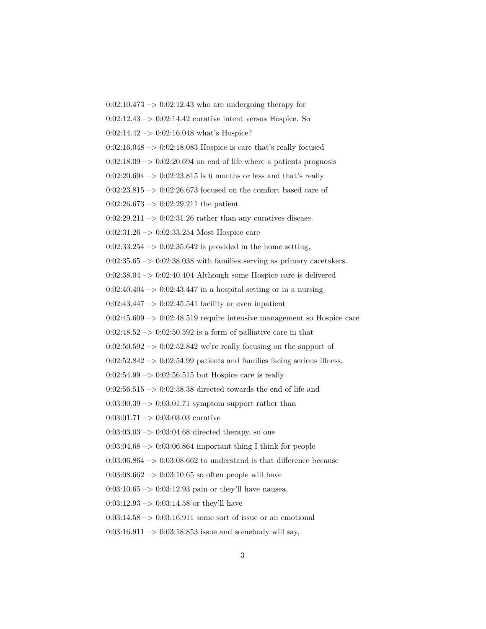$0:02:10.473 \rightarrow 0:02:12.43$  who are undergoing therapy for

 $0:02:12.43 \rightarrow 0:02:14.42$  curative intent versus Hospice. So

0:02:14.42 –> 0:02:16.048 what's Hospice?

 $0:02:16.048 \rightarrow 0:02:18.083$  Hospice is care that's really focused

 $0:02:18.09 \rightarrow 0:02:20.694$  on end of life where a patients prognosis

 $0:02:20.694 \rightarrow 0:02:23.815$  is 6 months or less and that's really

 $0:02:23.815 \rightarrow 0:02:26.673$  focused on the comfort based care of

 $0:02:26.673 \rightarrow 0:02:29.211$  the patient

 $0:02:29.211 \rightarrow 0:02:31.26$  rather than any curatives disease.

0:02:31.26 –> 0:02:33.254 Most Hospice care

 $0:02:33.254 \rightarrow 0:02:35.642$  is provided in the home setting,

 $0:02:35.65 \rightarrow 0:02:38.038$  with families serving as primary caretakers.

0:02:38.04 –> 0:02:40.404 Although some Hospice care is delivered

 $0:02:40.404 \rightarrow 0:02:43.447$  in a hospital setting or in a nursing

 $0:02:43.447 \rightarrow 0:02:45.541$  facility or even inpatient

 $0:02:45.609 \rightarrow 0:02:48.519$  require intensive management so Hospice care

 $0:02:48.52 \rightarrow 0:02:50.592$  is a form of palliative care in that

 $0:02:50.592 \rightarrow 0:02:52.842$  we're really focusing on the support of

 $0:02:52.842 \rightarrow 0:02:54.99$  patients and families facing serious illness,

 $0:02:54.99 \rightarrow 0:02:56.515$  but Hospice care is really

0:02:56.515  $\rightarrow$  0:02:58.38 directed towards the end of life and

 $0:03:00.39 \rightarrow 0:03:01.71$  symptom support rather than

0:03:01.71 –> 0:03:03.03 curative

 $0:03:03.03 \rightarrow 0:03:04.68$  directed therapy, so one

 $0:03:04.68 \rightarrow 0:03:06.864$  important thing I think for people

 $0:03:06.864 \rightarrow 0:03:08.662$  to understand is that difference because

 $0.03:08.662 \rightarrow 0.03:10.65$  so often people will have

 $0:03:10.65 \rightarrow 0:03:12.93$  pain or they'll have nausea,

 $0:03:12.93 \rightarrow 0:03:14.58$  or they'll have

 $0:03:14.58 \rightarrow 0:03:16.911$  some sort of issue or an emotional

 $0:03:16.911 \rightarrow 0:03:18.853$  issue and somebody will say,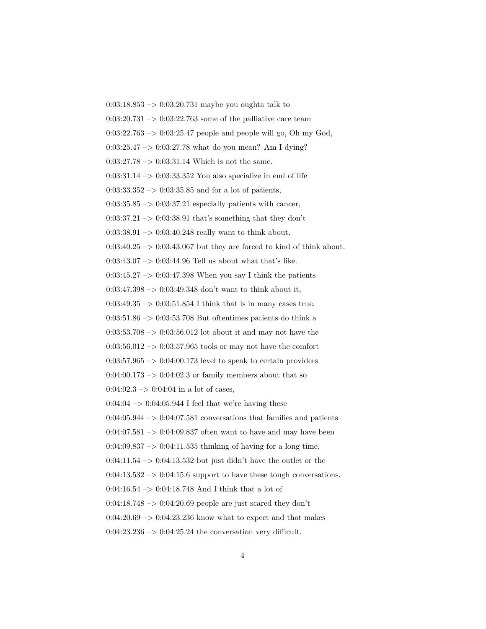0:03:18.853 –> 0:03:20.731 maybe you oughta talk to  $0:03:20.731 \rightarrow 0:03:22.763$  some of the palliative care team  $0:03:22.763 \rightarrow 0:03:25.47$  people and people will go, Oh my God,  $0:03:25.47 \rightarrow 0:03:27.78$  what do you mean? Am I dying?  $0:03:27.78 \rightarrow 0:03:31.14$  Which is not the same.  $0:03:31.14 \rightarrow 0:03:33.352$  You also specialize in end of life  $0:03:33.352 \rightarrow 0:03:35.85$  and for a lot of patients,  $0:03:35.85 \rightarrow 0:03:37.21$  especially patients with cancer,  $0:03:37.21 \rightarrow 0:03:38.91$  that's something that they don't  $0:03:38.91 \rightarrow 0:03:40.248$  really want to think about,  $0:03:40.25 \rightarrow 0:03:43.067$  but they are forced to kind of think about. 0:03:43.07  $\mathord{\sim}$  0:03:44.96 Tell us about what that's like.  $0:03:45.27 \rightarrow 0:03:47.398$  When you say I think the patients 0:03:47.398  $\Rightarrow$  0:03:49.348 don't want to think about it,  $0:03:49.35 \rightarrow 0:03:51.854$  I think that is in many cases true. 0:03:51.86 –> 0:03:53.708 But oftentimes patients do think a  $0:03:53.708 \rightarrow 0:03:56.012$  lot about it and may not have the  $0:03:56.012 \rightarrow 0:03:57.965$  tools or may not have the comfort  $0:03:57.965 \rightarrow 0:04:00.173$  level to speak to certain providers  $0:04:00.173 \rightarrow 0:04:02.3$  or family members about that so  $0:04:02.3 \rightarrow 0:04:04$  in a lot of cases,  $0.04:04 \rightarrow 0.04:05.944$  I feel that we're having these  $0:04:05.944 \rightarrow 0:04:07.581$  conversations that families and patients  $0:04:07.581 \rightarrow 0:04:09.837$  often want to have and may have been  $0:04:09.837 \rightarrow 0:04:11.535$  thinking of having for a long time,  $0:04:11.54 \rightarrow 0:04:13.532$  but just didn't have the outlet or the  $0:04:13.532 \rightarrow 0:04:15.6$  support to have these tough conversations.  $0:04:16.54 \rightarrow 0:04:18.748$  And I think that a lot of  $0:04:18.748 \rightarrow 0:04:20.69$  people are just scared they don't  $0.04:20.69 \rightarrow 0.04:23.236$  know what to expect and that makes  $0:04:23.236 \rightarrow 0:04:25.24$  the conversation very difficult.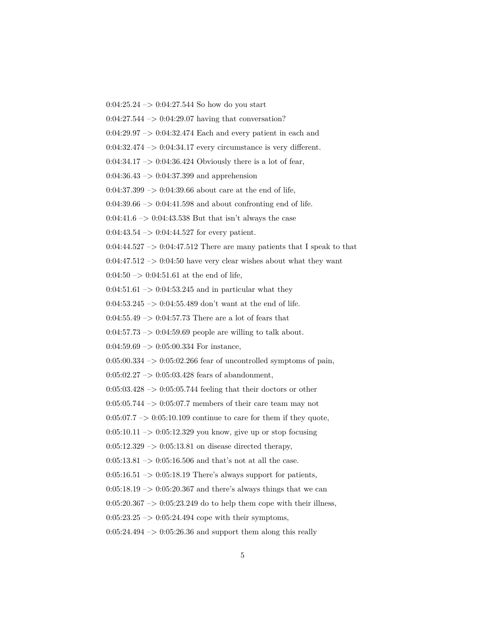$0:04:25.24 \rightarrow 0:04:27.544$  So how do you start

0:04:27.544 –> 0:04:29.07 having that conversation?

 $0:04:29.97 \rightarrow 0:04:32.474$  Each and every patient in each and

 $0:04:32.474 \rightarrow 0:04:34.17$  every circumstance is very different.

 $0:04:34.17 \rightarrow 0:04:36.424$  Obviously there is a lot of fear,

 $0:04:36.43 \rightarrow 0:04:37.399$  and apprehension

 $0:04:37.399 \rightarrow 0:04:39.66$  about care at the end of life,

 $0:04:39.66 \rightarrow 0:04:41.598$  and about confronting end of life.

0:04:41.6  $\rightarrow$  0:04:43.538 But that isn't always the case

 $0:04:43.54 \rightarrow 0:04:44.527$  for every patient.

 $0:04:44.527 \rightarrow 0:04:47.512$  There are many patients that I speak to that

 $0:04:47.512 \rightarrow 0:04:50$  have very clear wishes about what they want

0:04:50  $->$  0:04:51.61 at the end of life,

 $0:04:51.61 \rightarrow 0:04:53.245$  and in particular what they

0:04:53.245  $\rightarrow$  0:04:55.489 don't want at the end of life.

 $0:04:55.49 \rightarrow 0:04:57.73$  There are a lot of fears that

 $0:04:57.73 \rightarrow 0:04:59.69$  people are willing to talk about.

 $0:04:59.69 \rightarrow 0:05:00.334$  For instance,

 $0:05:00.334 \rightarrow 0:05:02.266$  fear of uncontrolled symptoms of pain,

 $0:05:02.27 \rightarrow 0:05:03.428$  fears of abandonment,

 $0:05:03.428 \rightarrow 0:05:05.744$  feeling that their doctors or other

 $0:05:05.744 \rightarrow 0:05:07.7$  members of their care team may not

 $0.05:07.7 \rightarrow 0.05:10.109$  continue to care for them if they quote,

 $0:05:10.11 \rightarrow 0:05:12.329$  you know, give up or stop focusing

 $0:05:12.329 \rightarrow 0:05:13.81$  on disease directed therapy,

 $0:05:13.81 \rightarrow 0:05:16.506$  and that's not at all the case.

 $0:05:16.51 \rightarrow 0:05:18.19$  There's always support for patients,

 $0:05:18.19 \rightarrow 0:05:20.367$  and there's always things that we can

 $0:05:20.367 \rightarrow 0:05:23.249$  do to help them cope with their illness,

 $0:05:23.25 \rightarrow 0:05:24.494$  cope with their symptoms,

 $0:05:24.494 \rightarrow 0:05:26.36$  and support them along this really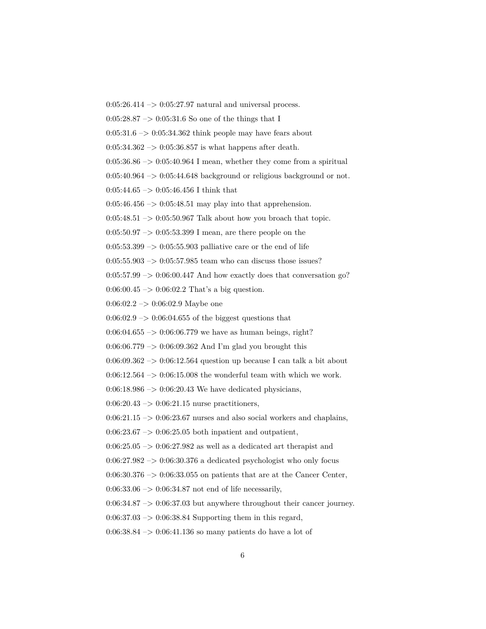$0:05:26.414 \rightarrow 0:05:27.97$  natural and universal process.  $0:05:28.87 \rightarrow 0:05:31.6$  So one of the things that I  $0:05:31.6 \rightarrow 0:05:34.362$  think people may have fears about  $0:05:34.362 \rightarrow 0:05:36.857$  is what happens after death.  $0:05:36.86 \rightarrow 0:05:40.964$  I mean, whether they come from a spiritual  $0:05:40.964 \rightarrow 0:05:44.648$  background or religious background or not.  $0:05:44.65 \rightarrow 0:05:46.456$  I think that  $0:05:46.456 \rightarrow 0:05:48.51$  may play into that apprehension.  $0:05:48.51 \rightarrow 0:05:50.967$  Talk about how you broach that topic.  $0:05:50.97 \rightarrow 0:05:53.399$  I mean, are there people on the  $0:05:53.399 \rightarrow 0:05:55.903$  palliative care or the end of life  $0.05:55.903\ensuremath{\rightarrow} 0.05:57.985$  team who can discuss those issues?  $0:05:57.99 \rightarrow 0:06:00.447$  And how exactly does that conversation go?  $0:06:00.45 \rightarrow 0:06:02.2$  That's a big question.  $0:06:02.2 \rightarrow 0:06:02.9$  Maybe one  $0.06:02.9 \rightarrow 0.06:04.655$  of the biggest questions that  $0:06:04.655 \rightarrow 0:06:06.779$  we have as human beings, right? 0:06:06.779  $\rightarrow$  0:06:09.362 And I'm glad you brought this  $0.06:09.362 \rightarrow 0.06:12.564$  question up because I can talk a bit about  $0:06:12.564 \rightarrow 0:06:15.008$  the wonderful team with which we work.  $0.06:18.986 \rightarrow 0.06:20.43$  We have dedicated physicians,  $0:06:20.43 \rightarrow 0:06:21.15$  nurse practitioners,  $0:06:21.15 \rightarrow 0:06:23.67$  nurses and also social workers and chaplains,  $0.06:23.67 \rightarrow 0.06:25.05$  both inpatient and outpatient,  $0.06:25.05 \rightarrow 0.06:27.982$  as well as a dedicated art therapist and  $0:06:27.982 \rightarrow 0:06:30.376$  a dedicated psychologist who only focus  $0:06:30.376 \rightarrow 0:06:33.055$  on patients that are at the Cancer Center,  $0:06:33.06 \rightarrow 0:06:34.87$  not end of life necessarily,  $0:06:34.87 \rightarrow 0:06:37.03$  but anywhere throughout their cancer journey.  $0.06:37.03 \rightarrow 0.06:38.84$  Supporting them in this regard,  $0.06:38.84 \rightarrow 0.06:41.136$  so many patients do have a lot of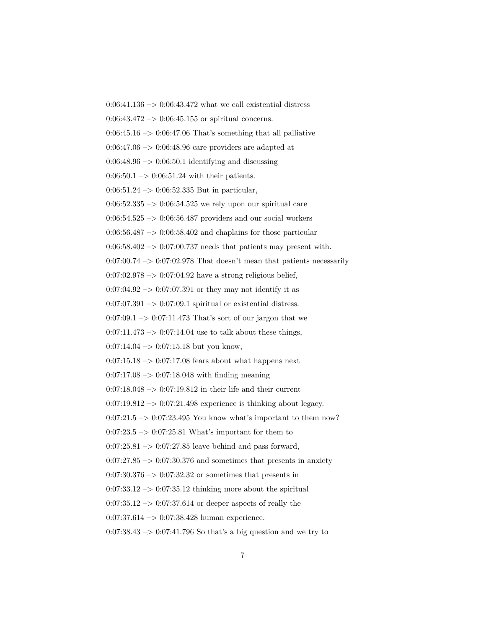$0:06:41.136 \rightarrow 0:06:43.472$  what we call existential distress  $0:06:43.472 \rightarrow 0:06:45.155$  or spiritual concerns.  $0:06:45.16 \rightarrow 0:06:47.06$  That's something that all palliative  $0.06:47.06 \rightarrow 0.06:48.96$  care providers are adapted at  $0.06:48.96 \rightarrow 0.06:50.1$  identifying and discussing  $0:06:50.1 \rightarrow 0:06:51.24$  with their patients. 0:06:51.24  $\rightarrow$  0:06:52.335 But in particular,  $0:06:52.335 \rightarrow 0:06:54.525$  we rely upon our spiritual care  $0.06:54.525 \rightarrow 0.06:56.487$  providers and our social workers  $0.06:56.487 \rightarrow 0.06:58.402$  and chaplains for those particular  $0.06:58.402 \rightarrow 0.07:00.737$  needs that patients may present with.  $0:07:00.74 \rightarrow 0:07:02.978$  That doesn't mean that patients necessarily  $0:07:02.978 \rightarrow 0:07:04.92$  have a strong religious belief,  $0:07:04.92 \rightarrow 0:07:07.391$  or they may not identify it as  $0:07:07.391 \rightarrow 0:07:09.1$  spiritual or existential distress.  $0:07:09.1 \rightarrow 0:07:11.473$  That's sort of our jargon that we  $0:07:11.473 \rightarrow 0:07:14.04$  use to talk about these things,  $0:07:14.04 \rightarrow 0:07:15.18$  but you know,  $0.07:15.18 \rightarrow 0.07:17.08$  fears about what happens next  $0.07:17.08 \rightarrow 0.07:18.048$  with finding meaning  $0:07:18.048 \rightarrow 0:07:19.812$  in their life and their current  $0:07:19.812 \rightarrow 0:07:21.498$  experience is thinking about legacy.  $0:07:21.5 \rightarrow 0:07:23.495$  You know what's important to them now?  $0:07:23.5 \rightarrow 0:07:25.81$  What's important for them to  $0:07:25.81 \rightarrow 0:07:27.85$  leave behind and pass forward,  $0:07:27.85 \rightarrow 0:07:30.376$  and sometimes that presents in anxiety  $0:07:30.376 \rightarrow 0:07:32.32$  or sometimes that presents in  $0:07:33.12 \rightarrow 0:07:35.12$  thinking more about the spiritual  $0.07:35.12 \rightarrow 0.07:37.614$  or deeper aspects of really the 0:07:37.614  $\rightarrow$  0:07:38.428 human experience.  $0.07:38.43 \rightarrow 0.07:41.796$  So that's a big question and we try to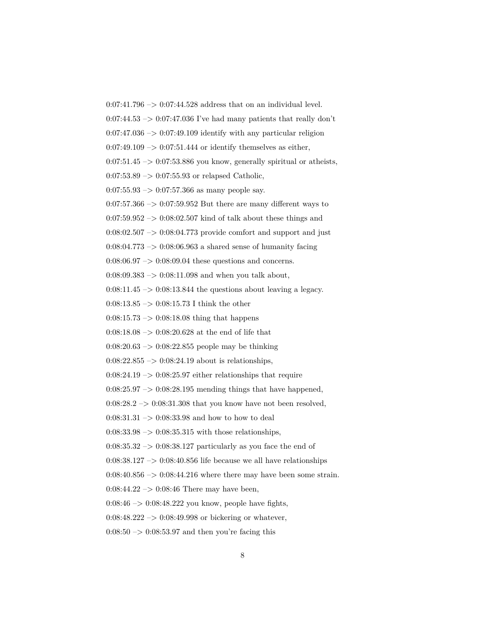$0:07:41.796 \rightarrow 0:07:44.528$  address that on an individual level.  $0:07:44.53 \rightarrow 0:07:47.036$  I've had many patients that really don't  $0:07:47.036 \rightarrow 0:07:49.109$  identify with any particular religion  $0.07:49.109 \rightarrow 0.07:51.444$  or identify themselves as either,  $0:07:51.45 \rightarrow 0:07:53.886$  you know, generally spiritual or atheists,  $0:07:53.89 \rightarrow 0:07:55.93$  or relapsed Catholic,  $0:07:55.93 \rightarrow 0:07:57.366$  as many people say.  $0.07:57.366 \rightarrow 0.07:59.952$  But there are many different ways to  $0:07:59.952 \rightarrow 0:08:02.507$  kind of talk about these things and  $0:08:02.507 \rightarrow 0:08:04.773$  provide comfort and support and just  $0:08:04.773 \rightarrow 0:08:06.963$  a shared sense of humanity facing  $0:08:06.97 \rightarrow 0:08:09.04$  these questions and concerns.  $0:08:09.383 \rightarrow 0:08:11.098$  and when you talk about,  $0:08:11.45 \rightarrow 0:08:13.844$  the questions about leaving a legacy. 0:08:13.85  $\rightarrow$  0:08:15.73 I think the other  $0:08:15.73 \rightarrow 0:08:18.08$  thing that happens 0:08:18.08 –> 0:08:20.628 at the end of life that  $0.08:20.63 \rightarrow 0.08:22.855$  people may be thinking  $0:08:22.855 \rightarrow 0:08:24.19$  about is relationships,  $0:08:24.19 \rightarrow 0:08:25.97$  either relationships that require  $0:08:25.97 \rightarrow 0:08:28.195$  mending things that have happened,  $0:08:28.2 \rightarrow 0:08:31.308$  that you know have not been resolved,  $0:08:31.31 \rightarrow 0:08:33.98$  and how to how to deal  $0.08:33.98 \rightarrow 0.08:35.315$  with those relationships,  $0:08:35.32 \rightarrow 0:08:38.127$  particularly as you face the end of  $0.08:38.127 \rightarrow 0.08:40.856$  life because we all have relationships  $0:08:40.856 \rightarrow 0:08:44.216$  where there may have been some strain.  $0:08:44.22 \rightarrow 0:08:46$  There may have been,  $0.08:46 \rightarrow 0.08:48.222$  you know, people have fights,  $0.08:48.222 \rightarrow 0.08:49.998$  or bickering or whatever,  $0:08:50 \rightarrow 0:08:53.97$  and then you're facing this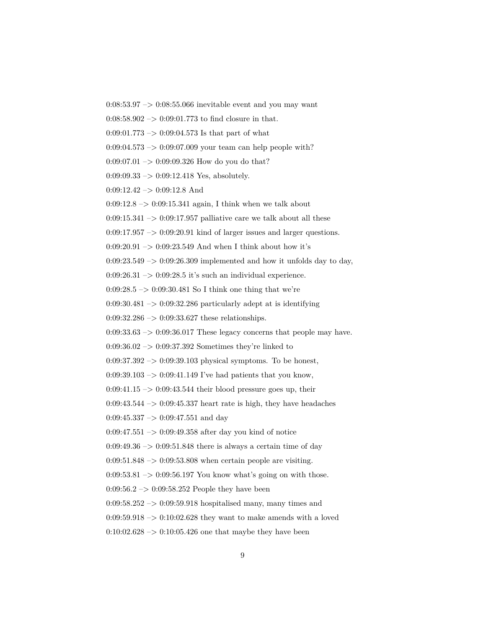$0:08:53.97 \rightarrow 0:08:55.066$  inevitable event and you may want

 $0:08:58.902 \rightarrow 0:09:01.773$  to find closure in that.

 $0:09:01.773 \rightarrow 0:09:04.573$  Is that part of what

 $0:09:04.573 \rightarrow 0:09:07.009$  your team can help people with?

 $0:09:07.01 \rightarrow 0:09:09.326$  How do you do that?

 $0:09:09.33 \rightarrow 0:09:12.418$  Yes, absolutely.

 $0:09:12.42 \rightarrow 0:09:12.8$  And

 $0:09:12.8 \rightarrow 0:09:15.341$  again, I think when we talk about

 $0:09:15.341 \rightarrow 0:09:17.957$  palliative care we talk about all these

 $0:09:17.957 \rightarrow 0:09:20.91$  kind of larger issues and larger questions.

 $0.09:20.91 \rightarrow 0.09:23.549$  And when I think about how it's

 $0:09:23.549 \rightarrow 0:09:26.309$  implemented and how it unfolds day to day,

 $0:09:26.31 \rightarrow 0:09:28.5$  it's such an individual experience.

0:09:28.5  $\rightarrow$  0:09:30.481 So I think one thing that we're

 $0:09:30.481 \rightarrow 0:09:32.286$  particularly adept at is identifying

 $0:09:32.286 \rightarrow 0:09:33.627$  these relationships.

 $0:09:33.63 \rightarrow 0:09:36.017$  These legacy concerns that people may have.

 $0:09:36.02 \rightarrow 0:09:37.392$  Sometimes they're linked to

 $0:09:37.392 \rightarrow 0:09:39.103$  physical symptoms. To be honest,

 $0:09:39.103 \rightarrow 0:09:41.149$  I've had patients that you know,

 $0:09:41.15 \rightarrow 0:09:43.544$  their blood pressure goes up, their

 $0:09:43.544 \rightarrow 0:09:45.337$  heart rate is high, they have headaches

 $0:09:45.337 \rightarrow 0:09:47.551$  and day

 $0:09:47.551 \rightarrow 0:09:49.358$  after day you kind of notice

 $0.09:49.36 \rightarrow 0.09:51.848$  there is always a certain time of day

 $0:09:51.848 \rightarrow 0:09:53.808$  when certain people are visiting.

 $0:09:53.81 \rightarrow 0:09:56.197$  You know what's going on with those.

 $0.09:56.2 \rightarrow 0.09:58.252$  People they have been

 $0:09:58.252 \rightarrow 0:09:59.918$  hospitalised many, many times and

 $0.09:59.918 \rightarrow 0.10:02.628$  they want to make amends with a loved

 $0:10:02.628 \rightarrow 0:10:05.426$  one that maybe they have been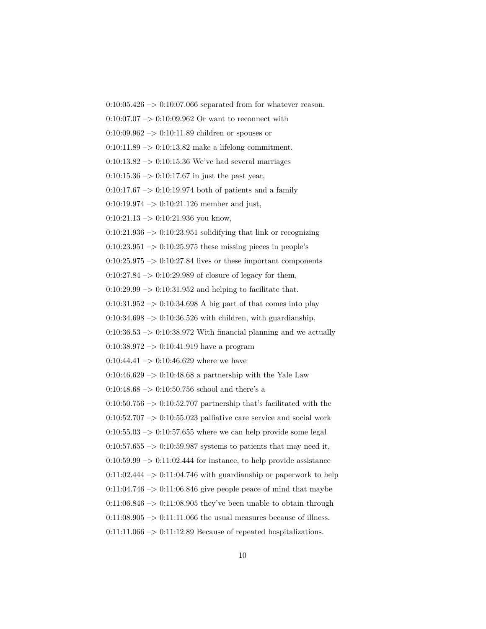$0:10:05.426 \rightarrow 0:10:07.066$  separated from for whatever reason.

0:10:07.07  $\mathnormal{\sim}$  0:10:09.962 Or want to reconnect with

0:10:09.962 –> 0:10:11.89 children or spouses or

 $0:10:11.89 \rightarrow 0:10:13.82$  make a lifelong commitment.

 $0:10:13.82 \rightarrow 0:10:15.36$  We've had several marriages

 $0:10:15.36 \rightarrow 0:10:17.67$  in just the past year,

 $0:10:17.67 \rightarrow 0:10:19.974$  both of patients and a family

 $0:10:19.974 \rightarrow 0:10:21.126$  member and just,

 $0:10:21.13 \rightarrow 0:10:21.936$  you know,

 $0:10:21.936 \rightarrow 0:10:23.951$  solidifying that link or recognizing

 $0:10:23.951 \rightarrow 0:10:25.975$  these missing pieces in people's

 $0:10:25.975 \rightarrow 0:10:27.84$  lives or these important components

 $0:10:27.84 \rightarrow 0:10:29.989$  of closure of legacy for them,

 $0:10:29.99 \rightarrow 0:10:31.952$  and helping to facilitate that.

 $0:10:31.952 \rightarrow 0:10:34.698$  A big part of that comes into play

 $0:10:34.698 \rightarrow 0:10:36.526$  with children, with guardianship.

 $0:10:36.53 \rightarrow 0:10:38.972$  With financial planning and we actually

 $0:10:38.972 \rightarrow 0:10:41.919$  have a program

 $0:10:44.41 \rightarrow 0:10:46.629$  where we have

0:10:46.629  $\rightarrow$  0:10:48.68 a partnership with the Yale Law

0:10:48.68  $->$  0:10:50.756 school and there's a

 $0:10:50.756 \rightarrow 0:10:52.707$  partnership that's facilitated with the

 $0:10:52.707 \rightarrow 0:10:55.023$  palliative care service and social work

 $0:10:55.03 \rightarrow 0:10:57.655$  where we can help provide some legal

 $0:10:57.655 \rightarrow 0:10:59.987$  systems to patients that may need it,

 $0:10:59.99 \rightarrow 0:11:02.444$  for instance, to help provide assistance

 $0:11:02.444 \rightarrow 0:11:04.746$  with guardianship or paperwork to help

 $0:11:04.746 \rightarrow 0:11:06.846$  give people peace of mind that maybe

 $0:11:06.846 \rightarrow 0:11:08.905$  they've been unable to obtain through

 $0:11:08.905 \rightarrow 0:11:11.066$  the usual measures because of illness.

 $0:11:11.066 \rightarrow 0:11:12.89$  Because of repeated hospitalizations.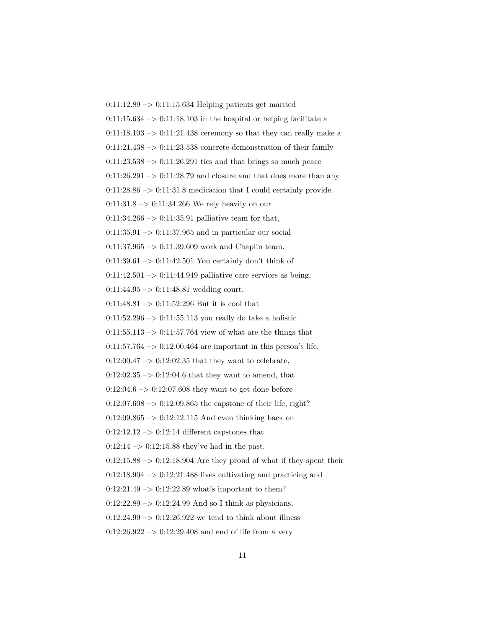$0:11:12.89 \rightarrow 0:11:15.634$  Helping patients get married  $0:11:15.634 \rightarrow 0:11:18.103$  in the hospital or helping facilitate a  $0:11:18.103 \rightarrow 0:11:21.438$  ceremony so that they can really make a  $0:11:21.438 \rightarrow 0:11:23.538$  concrete demonstration of their family  $0:11:23.538 \rightarrow 0:11:26.291$  ties and that brings so much peace  $0:11:26.291 \rightarrow 0:11:28.79$  and closure and that does more than any 0:11:28.86  $\rightarrow$  0:11:31.8 medication that I could certainly provide.  $0:11:31.8 \rightarrow 0:11:34.266$  We rely heavily on our  $0:11:34.266 \rightarrow 0:11:35.91$  palliative team for that,  $0:11:35.91 \rightarrow 0:11:37.965$  and in particular our social  $0:11:37.965 \rightarrow 0:11:39.609$  work and Chaplin team. 0:11:39.61  $\rightarrow$  0:11:42.501 You certainly don't think of  $0:11:42.501 \rightarrow 0:11:44.949$  palliative care services as being,  $0:11:44.95 \rightarrow 0:11:48.81$  wedding court.  $0:11:48.81 \rightarrow 0:11:52.296$  But it is cool that  $0:11:52.296 \rightarrow 0:11:55.113$  you really do take a holistic  $0:11:55.113 \rightarrow 0:11:57.764$  view of what are the things that  $0:11:57.764 \rightarrow 0:12:00.464$  are important in this person's life,  $0:12:00.47 \rightarrow 0:12:02.35$  that they want to celebrate,  $0:12:02.35 \rightarrow 0:12:04.6$  that they want to amend, that  $0:12:04.6 \rightarrow 0:12:07.608$  they want to get done before  $0:12:07.608 \rightarrow 0:12:09.865$  the capstone of their life, right? 0:12:09.865 –> 0:12:12.115 And even thinking back on  $0:12:12.12 \rightarrow 0:12:14$  different capstones that  $0:12:14 \rightarrow 0:12:15.88$  they've had in the past.  $0:12:15.88 \rightarrow 0:12:18.904$  Are they proud of what if they spent their  $0:12:18.904 \rightarrow 0:12:21.488$  lives cultivating and practicing and  $0:12:21.49 \rightarrow 0:12:22.89$  what's important to them?  $0:12:22.89 \rightarrow 0:12:24.99$  And so I think as physicians,  $0:12:24.99 \rightarrow 0:12:26.922$  we tend to think about illness  $0:12:26.922 \rightarrow 0:12:29.408$  and end of life from a very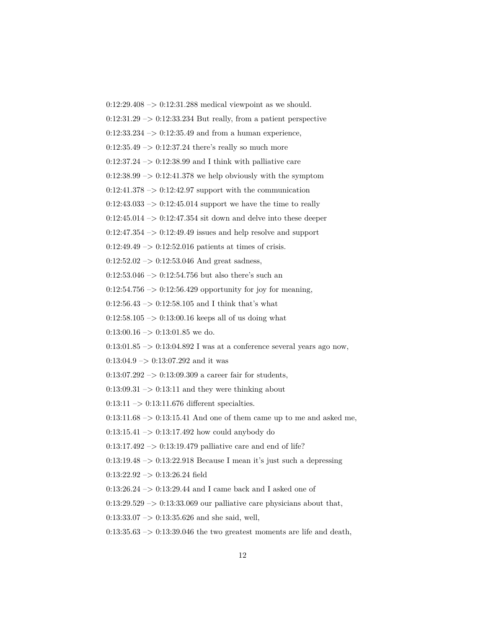0:12:29.408 –> 0:12:31.288 medical viewpoint as we should.  $0:12:31.29 \rightarrow 0:12:33.234$  But really, from a patient perspective  $0:12:33.234 \rightarrow 0:12:35.49$  and from a human experience,  $0:12:35.49 \rightarrow 0:12:37.24$  there's really so much more  $0:12:37.24 \rightarrow 0:12:38.99$  and I think with palliative care  $0:12:38.99 \rightarrow 0:12:41.378$  we help obviously with the symptom  $0:12:41.378 \rightarrow 0:12:42.97$  support with the communication  $0:12:43.033 \rightarrow 0:12:45.014$  support we have the time to really  $0:12:45.014 \rightarrow 0:12:47.354$  sit down and delve into these deeper  $0:12:47.354 \rightarrow 0:12:49.49$  issues and help resolve and support  $0:12:49.49 \rightarrow 0:12:52.016$  patients at times of crisis.  $0:12:52.02 \rightarrow 0:12:53.046$  And great sadness, 0:12:53.046  $\rightarrow$  0:12:54.756 but also there's such an  $0:12:54.756 \rightarrow 0:12:56.429$  opportunity for joy for meaning,  $0:12:56.43 \rightarrow 0:12:58.105$  and I think that's what  $0:12:58.105 \rightarrow 0:13:00.16$  keeps all of us doing what  $0:13:00.16 \rightarrow 0:13:01.85$  we do.  $0:13:01.85 \rightarrow 0:13:04.892$  I was at a conference several years ago now,  $0:13:04.9 \rightarrow 0:13:07.292$  and it was  $0:13:07.292 \rightarrow 0:13:09.309$  a career fair for students,  $0:13:09.31 \rightarrow 0:13:11$  and they were thinking about  $0:13:11 \rightarrow 0:13:11.676$  different specialties.  $0:13:11.68 \rightarrow 0:13:15.41$  And one of them came up to me and asked me,  $0:13:15.41 \rightarrow 0:13:17.492$  how could anybody do  $0:13:17.492 \rightarrow 0:13:19.479$  palliative care and end of life?

 $0:13:19.48 \rightarrow 0:13:22.918$  Because I mean it's just such a depressing

 $0:13:22.92 \rightarrow 0:13:26.24$  field

0:13:26.24 –> 0:13:29.44 and I came back and I asked one of

 $0:13:29.529 \rightarrow 0:13:33.069$  our palliative care physicians about that,

 $0:13:33.07 \rightarrow 0:13:35.626$  and she said, well,

 $0:13:35.63 \rightarrow 0:13:39.046$  the two greatest moments are life and death,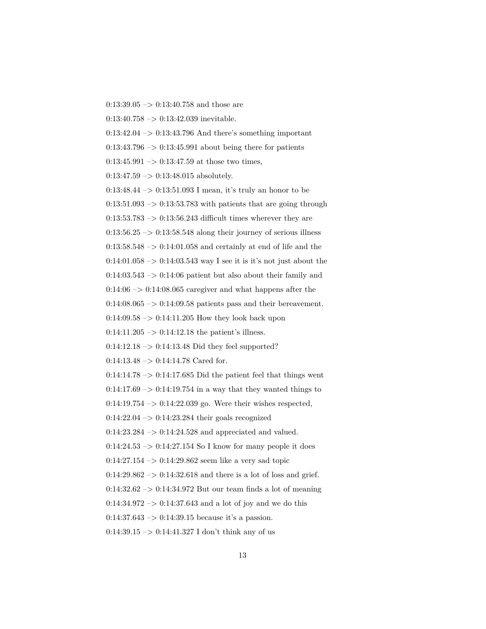$0:13:39.05 \rightarrow 0:13:40.758$  and those are  $0:13:40.758 \rightarrow 0:13:42.039$  inevitable.  $0:13:42.04 \rightarrow 0:13:43.796$  And there's something important  $0:13:43.796 \rightarrow 0:13:45.991$  about being there for patients  $0:13:45.991 \rightarrow 0:13:47.59$  at those two times,  $0:13:47.59 \rightarrow 0:13:48.015$  absolutely. 0:13:48.44 –> 0:13:51.093 I mean, it's truly an honor to be  $0:13:51.093 \rightarrow 0:13:53.783$  with patients that are going through  $0:13:53.783 \rightarrow 0:13:56.243$  difficult times wherever they are  $0.13:56.25 \rightarrow 0.13:58.548$  along their journey of serious illness  $0.13:58.548 \rightarrow 0.14:01.058$  and certainly at end of life and the 0:14:01.058  $\rightarrow$  0:14:03.543 way I see it is it's not just about the  $0:14:03.543 \rightarrow 0:14:06$  patient but also about their family and  $0.14:06 \rightarrow 0.14:08.065$  caregiver and what happens after the  $0:14:08.065 \rightarrow 0:14:09.58$  patients pass and their bereavement.  $0:14:09.58 \rightarrow 0:14:11.205$  How they look back upon  $0:14:11.205 \rightarrow 0:14:12.18$  the patient's illness.  $0:14:12.18 \rightarrow 0:14:13.48$  Did they feel supported?  $0:14:13.48 \rightarrow 0:14:14.78$  Cared for.  $0:14:14.78 \rightarrow 0:14:17.685$  Did the patient feel that things went  $0:14:17.69 \rightarrow 0:14:19.754$  in a way that they wanted things to 0:14:19.754  $\rightarrow$  0:14:22.039 go. Were their wishes respected,  $0.14{\rm :}22.04$   $->$   $0.14{\rm :}23.284$  their goals recognized  $0:14:23.284 \rightarrow 0:14:24.528$  and appreciated and valued.  $0:14:24.53 \rightarrow 0:14:27.154$  So I know for many people it does  $0:14:27.154 \rightarrow 0:14:29.862$  seem like a very sad topic  $0:14:29.862 \rightarrow 0:14:32.618$  and there is a lot of loss and grief.  $0:14:32.62 \rightarrow 0:14:34.972$  But our team finds a lot of meaning  $0.14:34.972 \rightarrow 0.14:37.643$  and a lot of joy and we do this  $0:14:37.643 \rightarrow 0:14:39.15$  because it's a passion. 0:14:39.15  $\rightarrow$  0:14:41.327 I don't think any of us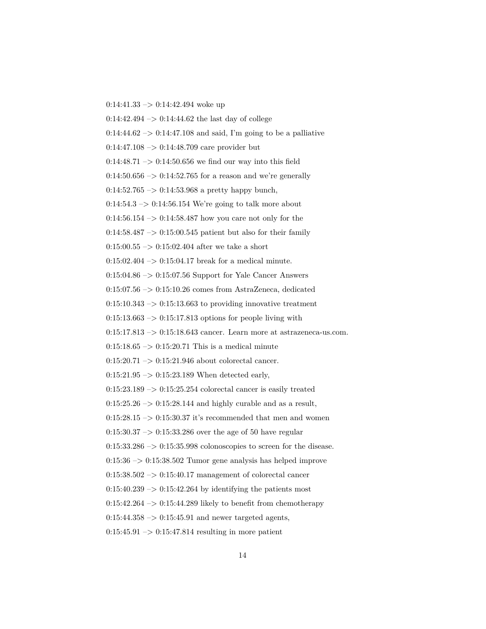$0:14:41.33 \rightarrow 0:14:42.494$  woke up

 $0:14:42.494 \rightarrow 0:14:44.62$  the last day of college

 $0:14:44.62 \rightarrow 0:14:47.108$  and said, I'm going to be a palliative

 $0:14:47.108 \rightarrow 0:14:48.709$  care provider but

 $0:14:48.71 \rightarrow 0:14:50.656$  we find our way into this field

0:14:50.656  $\rightarrow$  0:14:52.765 for a reason and we're generally

 $0:14:52.765 \rightarrow 0:14:53.968$  a pretty happy bunch,

 $0:14:54.3 \rightarrow 0:14:56.154$  We're going to talk more about

 $0:14:56.154 \rightarrow 0:14:58.487$  how you care not only for the

 $0.14:58.487 \rightarrow 0.15:00.545$  patient but also for their family

 $0:15:00.55 \rightarrow 0:15:02.404$  after we take a short

 $0:15:02.404 \rightarrow 0:15:04.17$  break for a medical minute.

0:15:04.86 –> 0:15:07.56 Support for Yale Cancer Answers

 $0:15:07.56 \rightarrow 0:15:10.26$  comes from AstraZeneca, dedicated

 $0:15:10.343 \rightarrow 0:15:13.663$  to providing innovative treatment

 $0:15:13.663 \rightarrow 0:15:17.813$  options for people living with

 $0:15:17.813 \rightarrow 0:15:18.643$  cancer. Learn more at astrazeneca-us.com.

 $0:15:18.65 \rightarrow 0:15:20.71$  This is a medical minute

 $0:15:20.71 \rightarrow 0:15:21.946$  about colorectal cancer.

 $0:15:21.95 \rightarrow 0:15:23.189$  When detected early,

 $0:15:23.189 \rightarrow 0:15:25.254$  colorectal cancer is easily treated

 $0:15:25.26 \rightarrow 0:15:28.144$  and highly curable and as a result,

 $0:15:28.15 \rightarrow 0:15:30.37$  it's recommended that men and women

 $0:15:30.37 \rightarrow 0:15:33.286$  over the age of 50 have regular

 $0.15:33.286 \rightarrow 0.15:35.998$  colonoscopies to screen for the disease.

 $0:15:36 \rightarrow 0:15:38.502$  Tumor gene analysis has helped improve

 $0:15:38.502 \rightarrow 0:15:40.17$  management of colorectal cancer

 $0:15:40.239 \rightarrow 0:15:42.264$  by identifying the patients most

 $0:15:42.264 \rightarrow 0:15:44.289$  likely to benefit from chemotherapy

 $0:15:44.358 \rightarrow 0:15:45.91$  and newer targeted agents,

 $0:15:45.91 \rightarrow 0:15:47.814$  resulting in more patient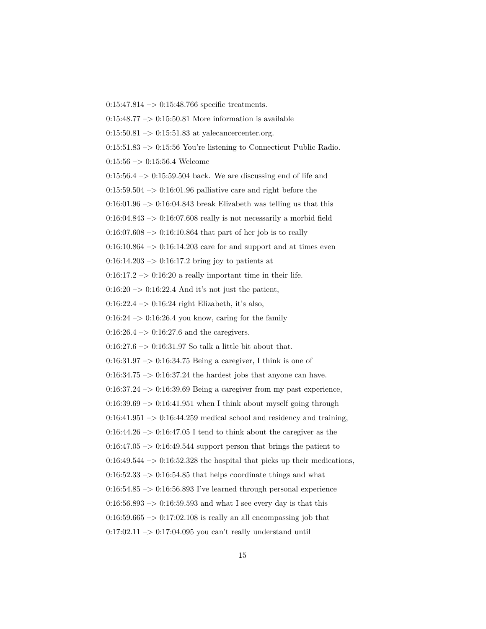$0:15:47.814 \rightarrow 0:15:48.766$  specific treatments.

 $0:15:48.77 \rightarrow 0:15:50.81$  More information is available

 $0:15:50.81 \rightarrow 0:15:51.83$  at yalecancercenter.org.

 $0:15:51.83 \rightarrow 0:15:56$  You're listening to Connecticut Public Radio.

 $0:15:56 \rightarrow 0:15:56.4$  Welcome

 $0:15:56.4 \rightarrow 0:15:59.504$  back. We are discussing end of life and

 $0:15:59.504 \rightarrow 0:16:01.96$  palliative care and right before the

 $0:16:01.96 \rightarrow 0:16:04.843$  break Elizabeth was telling us that this

 $0:16:04.843 \rightarrow 0:16:07.608$  really is not necessarily a morbid field

 $0.16:07.608 \rightarrow 0.16:10.864$  that part of her job is to really

 $0:16:10.864 \rightarrow 0:16:14.203$  care for and support and at times even

 $0:16:14.203 \rightarrow 0:16:17.2$  bring joy to patients at

 $0:16:17.2 \rightarrow 0:16:20$  a really important time in their life.

 $0:16:20 \rightarrow 0:16:22.4$  And it's not just the patient,

 $0:16:22.4 \rightarrow 0:16:24$  right Elizabeth, it's also,

 $0:16:24 \rightarrow 0:16:26.4$  you know, caring for the family

 $0:16:26.4 \rightarrow 0:16:27.6$  and the caregivers.

0:16:27.6  $\rightarrow$  0:16:31.97 So talk a little bit about that.

 $0.16:31.97 \rightarrow 0.16:34.75$  Being a caregiver, I think is one of

 $0:16:34.75 \rightarrow 0:16:37.24$  the hardest jobs that anyone can have.

 $0:16:37.24 \rightarrow 0:16:39.69$  Being a caregiver from my past experience,

 $0:16:39.69 \rightarrow 0:16:41.951$  when I think about myself going through

 $0:16:41.951 \rightarrow 0:16:44.259$  medical school and residency and training,

 $0:16:44.26 \rightarrow 0:16:47.05$  I tend to think about the caregiver as the

 $0.16:47.05 \rightarrow 0.16:49.544$  support person that brings the patient to

 $0:16:49.544 \rightarrow 0:16:52.328$  the hospital that picks up their medications,

 $0:16:52.33 \rightarrow 0:16:54.85$  that helps coordinate things and what

 $0:16:54.85 \rightarrow 0:16:56.893$  I've learned through personal experience

 $0.16:56.893 \rightarrow 0.16:59.593$  and what I see every day is that this

 $0.16:59.665 \rightarrow 0.17:02.108$  is really an all encompassing job that

 $0:17:02.11 \rightarrow 0:17:04.095$  you can't really understand until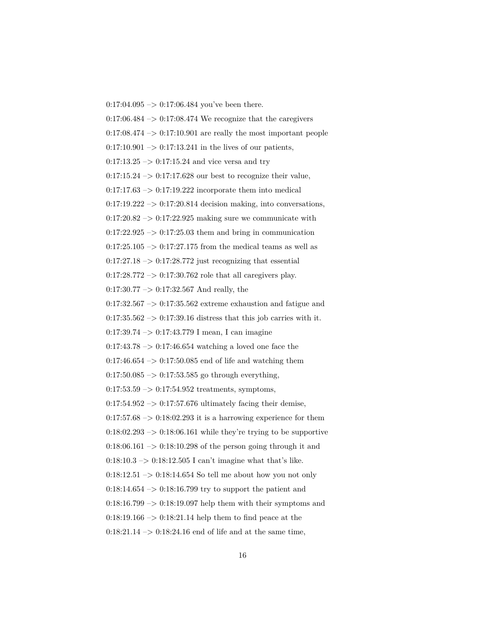$0:17:04.095 \rightarrow 0:17:06.484$  you've been there.  $0.17:06.484 \rightarrow 0.17:08.474$  We recognize that the caregivers  $0:17:08.474 \rightarrow 0:17:10.901$  are really the most important people  $0:17:10.901 \rightarrow 0:17:13.241$  in the lives of our patients,  $0:17:13.25 \rightarrow 0:17:15.24$  and vice versa and try  $0:17:15.24 \rightarrow 0:17:17.628$  our best to recognize their value,  $0:17:17.63 \rightarrow 0:17:19.222$  incorporate them into medical  $0:17:19.222 \rightarrow 0:17:20.814$  decision making, into conversations,  $0:17:20.82 \rightarrow 0:17:22.925$  making sure we communicate with  $0:17:22.925 \rightarrow 0:17:25.03$  them and bring in communication  $0:17:25.105 \rightarrow 0:17:27.175$  from the medical teams as well as  $0:17:27.18 \rightarrow 0:17:28.772$  just recognizing that essential  $0:17:28.772 \rightarrow 0:17:30.762$  role that all caregivers play.  $0:17:30.77 \rightarrow 0:17:32.567$  And really, the  $0:17:32.567 \rightarrow 0:17:35.562$  extreme exhaustion and fatigue and  $0:17:35.562 \rightarrow 0:17:39.16$  distress that this job carries with it.  $0:17:39.74 \rightarrow 0:17:43.779$  I mean, I can imagine  $0:17:43.78 \rightarrow 0:17:46.654$  watching a loved one face the  $0.17:46.654 \rightarrow 0.17:50.085$  end of life and watching them  $0.17:50.085 \rightarrow 0.17:53.585$  go through everything,  $0:17:53.59 \rightarrow 0:17:54.952$  treatments, symptoms,  $0.17:54.952 \rightarrow 0.17:57.676$  ultimately facing their demise,  $0:17:57.68 \rightarrow 0:18:02.293$  it is a harrowing experience for them  $0:18:02.293 \rightarrow 0:18:06.161$  while they're trying to be supportive  $0.18:06.161 \rightarrow 0.18:10.298$  of the person going through it and 0:18:10.3  $\rightarrow$  0:18:12.505 I can't imagine what that's like.  $0:18:12.51 \rightarrow 0:18:14.654$  So tell me about how you not only  $0:18:14.654 \rightarrow 0:18:16.799$  try to support the patient and  $0.18:16.799 \rightarrow 0.18:19.097$  help them with their symptoms and  $0.18:19.166 \rightarrow 0.18:21.14$  help them to find peace at the  $0:18:21.14 \rightarrow 0:18:24.16$  end of life and at the same time,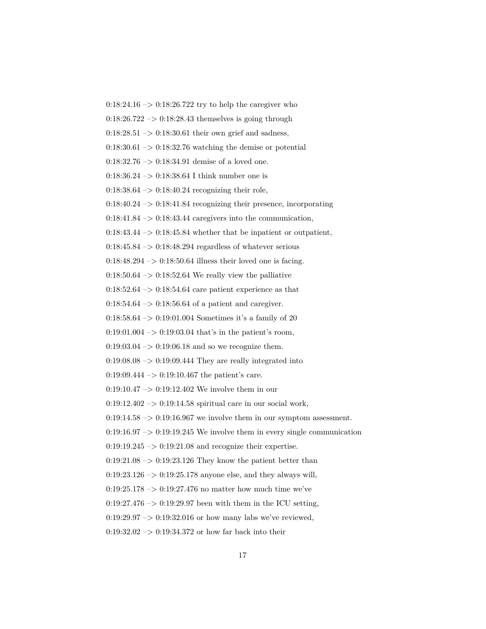$0:18:24.16 \rightarrow 0:18:26.722$  try to help the caregiver who  $0.18:26.722 \rightarrow 0.18:28.43$  themselves is going through  $0:18:28.51 \rightarrow 0:18:30.61$  their own grief and sadness,  $0.18:30.61 \rightarrow 0.18:32.76$  watching the demise or potential  $0:18:32.76 \rightarrow 0:18:34.91$  demise of a loved one. 0:18:36.24 –> 0:18:38.64 I think number one is  $0:18:38.64 \rightarrow 0:18:40.24$  recognizing their role,  $0:18:40.24 \rightarrow 0:18:41.84$  recognizing their presence, incorporating  $0:18:41.84 \rightarrow 0:18:43.44$  caregivers into the communication,  $0:18:43.44 \rightarrow 0:18:45.84$  whether that be inpatient or outpatient,  $0.18:45.84 \rightarrow 0.18:48.294$  regardless of whatever serious  $0:18:48.294 \rightarrow 0:18:50.64$  illness their loved one is facing.  $0:18:50.64 \rightarrow 0:18:52.64$  We really view the palliative  $0.18:52.64 \rightarrow 0.18:54.64$  care patient experience as that  $0:18:54.64 \rightarrow 0:18:56.64$  of a patient and caregiver. 0:18:58.64 –> 0:19:01.004 Sometimes it's a family of 20  $0:19:01.004 \rightarrow 0:19:03.04$  that's in the patient's room,  $0:19:03.04 \rightarrow 0:19:06.18$  and so we recognize them.  $0.19:08.08 \rightarrow 0.19:09.444$  They are really integrated into  $0:19:09.444 \rightarrow 0:19:10.467$  the patient's care.  $0:19:10.47 \rightarrow 0:19:12.402$  We involve them in our  $0.19:12.402 \rightarrow 0.19:14.58$  spiritual care in our social work,  $0:19:14.58 \rightarrow 0:19:16.967$  we involve them in our symptom assessment.  $0:19:16.97 \rightarrow 0:19:19.245$  We involve them in every single communication  $0:19:19.245 \rightarrow 0:19:21.08$  and recognize their expertise.  $0:19:21.08 \rightarrow 0:19:23.126$  They know the patient better than  $0:19:23.126 \rightarrow 0:19:25.178$  anyone else, and they always will, 0:19:25.178 –> 0:19:27.476 no matter how much time we've  $0:19:27.476 \rightarrow 0:19:29.97$  been with them in the ICU setting,  $0.19:29.97 \rightarrow 0.19:32.016$  or how many labs we've reviewed,

 $0:19:32.02 \rightarrow 0:19:34.372$  or how far back into their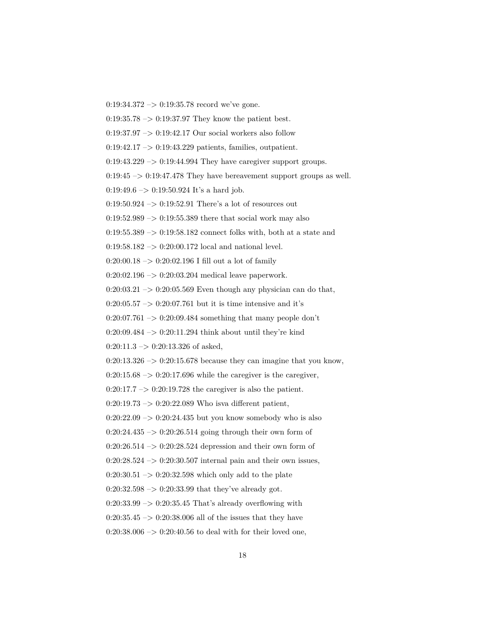$0:19:34.372 \rightarrow 0:19:35.78 \text{ record we've gone.}$ 

 $0.19:35.78 \rightarrow 0.19:37.97$  They know the patient best.

 $0:19:37.97 \rightarrow 0:19:42.17$  Our social workers also follow

0:19:42.17 –> 0:19:43.229 patients, families, outpatient.

 $0:19:43.229 \rightarrow 0:19:44.994$  They have caregiver support groups.

 $0:19:45 \rightarrow 0:19:47.478$  They have bereavement support groups as well.

 $0:19:49.6 \rightarrow 0:19:50.924$  It's a hard job.

 $0.19:50.924 \rightarrow 0.19:52.91$  There's a lot of resources out

 $0:19:52.989 \rightarrow 0:19:55.389$  there that social work may also

 $0:19:55.389 \rightarrow 0:19:58.182$  connect folks with, both at a state and

 $0:19:58.182 \rightarrow 0:20:00.172$  local and national level.

 $0:20:00.18 \rightarrow 0:20:02.196$  I fill out a lot of family

0:20:02.196 –> 0:20:03.204 medical leave paperwork.

 $0:20:03.21 \rightarrow 0:20:05.569$  Even though any physician can do that,

 $0:20:05.57 \rightarrow 0:20:07.761$  but it is time intensive and it's

 $0:20:07.761 \rightarrow 0:20:09.484$  something that many people don't

0:20:09.484  $\rightarrow$  0:20:11.294 think about until they're kind

 $0:20:11.3 \rightarrow 0:20:13.326$  of asked,

 $0:20:13.326 \rightarrow 0:20:15.678$  because they can imagine that you know,

 $0:20:15.68 \rightarrow 0:20:17.696$  while the caregiver is the caregiver,

 $0:20:17.7 \rightarrow 0:20:19.728$  the caregiver is also the patient.

 $0:20:19.73 \rightarrow 0:20:22.089$  Who isva different patient,

 $0:20:22.09 \rightarrow 0:20:24.435$  but you know somebody who is also

0:20:24.435 –> 0:20:26.514 going through their own form of

 $0:20:26.514 \rightarrow 0:20:28.524$  depression and their own form of

 $0:20:28.524 \rightarrow 0:20:30.507$  internal pain and their own issues,

 $0:20:30.51 \rightarrow 0:20:32.598$  which only add to the plate

 $0:20:32.598 \rightarrow 0:20:33.99$  that they've already got.

 $0:20:33.99 \rightarrow 0:20:35.45$  That's already overflowing with

 $0:20:35.45 \rightarrow 0:20:38.006$  all of the issues that they have

 $0:20:38.006 \rightarrow 0:20:40.56$  to deal with for their loved one,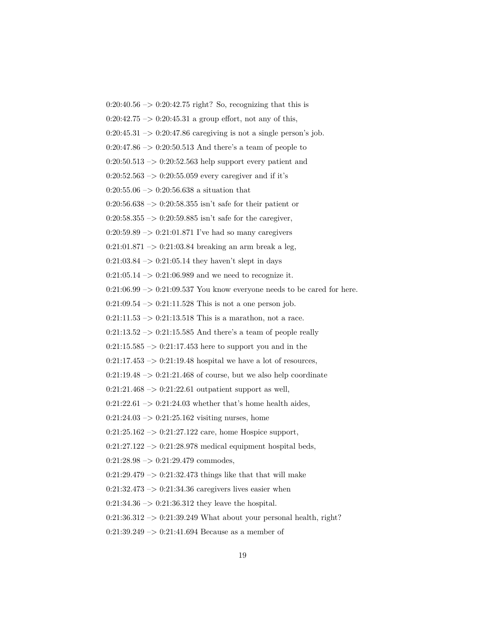$0:20:40.56 \rightarrow 0:20:42.75$  right? So, recognizing that this is  $0:20:42.75 \rightarrow 0:20:45.31$  a group effort, not any of this,  $0:20:45.31 \rightarrow 0:20:47.86$  caregiving is not a single person's job.  $0:20:47.86 \rightarrow 0:20:50.513$  And there's a team of people to  $0:20:50.513 \rightarrow 0:20:52.563$  help support every patient and  $0:20:52.563 \rightarrow 0:20:55.059$  every caregiver and if it's  $0:20:55.06 \rightarrow 0:20:56.638$  a situation that 0:20:56.638 –> 0:20:58.355 isn't safe for their patient or 0:20:58.355  $\rightarrow$  0:20:59.885 isn't safe for the caregiver,  $0:20:59.89 \rightarrow 0:21:01.871$  I've had so many caregivers  $0:21:01.871 \rightarrow 0:21:03.84$  breaking an arm break a leg,  $0:21:03.84 \rightarrow 0:21:05.14$  they haven't slept in days  $0:21:05.14 \rightarrow 0:21:06.989$  and we need to recognize it.  $0:21:06.99 \rightarrow 0:21:09.537$  You know everyone needs to be cared for here.  $0:21:09.54 \rightarrow 0:21:11.528$  This is not a one person job.  $0:21:11.53 \rightarrow 0:21:13.518$  This is a marathon, not a race.  $0:21:13.52 \rightarrow 0:21:15.585$  And there's a team of people really  $0:21:15.585 \rightarrow 0:21:17.453$  here to support you and in the  $0:21:17.453 \rightarrow 0:21:19.48$  hospital we have a lot of resources,  $0:21:19.48 \rightarrow 0:21:21.468$  of course, but we also help coordinate  $0:21:21.468 \rightarrow 0:21:22.61$  outpatient support as well,  $0:21:22.61 \rightarrow 0:21:24.03$  whether that's home health aides,  $0:21:24.03 \rightarrow 0:21:25.162$  visiting nurses, home  $0:21:25.162 \rightarrow 0:21:27.122$  care, home Hospice support,  $0:21:27.122 \rightarrow 0:21:28.978$  medical equipment hospital beds,  $0:21:28.98 \rightarrow 0:21:29.479$  commodes,  $0:21:29.479 \rightarrow 0:21:32.473$  things like that that will make  $0:21:32.473 \rightarrow 0:21:34.36$  caregivers lives easier when  $0:21:34.36 \rightarrow 0:21:36.312$  they leave the hospital.  $0:21:36.312 \rightarrow 0:21:39.249$  What about your personal health, right?  $0:21:39.249 \rightarrow 0:21:41.694$  Because as a member of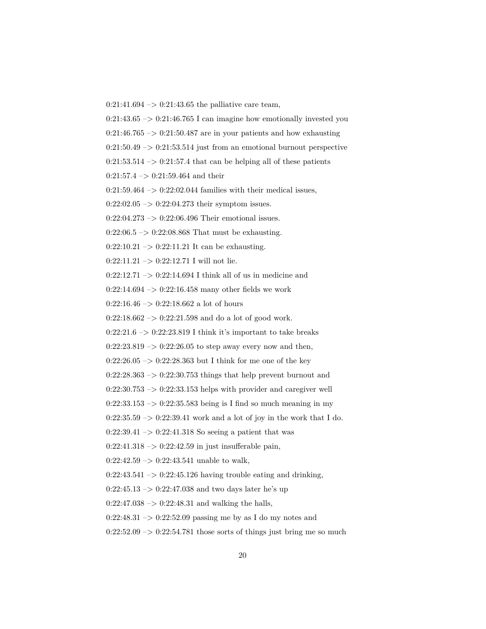$0:21:41.694 \rightarrow 0:21:43.65$  the palliative care team,

 $0:21:43.65 \rightarrow 0:21:46.765$  I can imagine how emotionally invested you

 $0:21:46.765 \rightarrow 0:21:50.487$  are in your patients and how exhausting

 $0:21:50.49 \rightarrow 0:21:53.514$  just from an emotional burnout perspective

 $0:21:53.514 \rightarrow 0:21:57.4$  that can be helping all of these patients

 $0:21:57.4 \rightarrow 0:21:59.464$  and their

 $0:21:59.464 \rightarrow 0:22:02.044$  families with their medical issues,

 $0:22:02.05 \rightarrow 0:22:04.273$  their symptom issues.

 $0:22:04.273 \rightarrow 0:22:06.496$  Their emotional issues.

 $0:22:06.5 \rightarrow 0:22:08.868$  That must be exhausting.

 $0:22:10.21 \rightarrow 0:22:11.21$  It can be exhausting.

 $0:22:11.21 \rightarrow 0:22:12.71$  I will not lie.

 $0:22:12.71 \rightarrow 0:22:14.694$  I think all of us in medicine and

 $0:22:14.694 \rightarrow 0:22:16.458$  many other fields we work

 $0:22:16.46 \rightarrow 0:22:18.662$  a lot of hours

 $0:22:18.662 \rightarrow 0:22:21.598$  and do a lot of good work.

 $0:22:21.6 \rightarrow 0:22:23.819$  I think it's important to take breaks

 $0:22:23.819 \rightarrow 0:22:26.05$  to step away every now and then,

 $0:22:26.05 \rightarrow 0:22:28.363$  but I think for me one of the key

 $0:22:28.363 \rightarrow 0:22:30.753$  things that help prevent burnout and

 $0:22:30.753 \rightarrow 0:22:33.153$  helps with provider and caregiver well

 $0:22:33.153 \rightarrow 0:22:35.583$  being is I find so much meaning in my

 $0:22:35.59 \rightarrow 0:22:39.41$  work and a lot of joy in the work that I do.

 $0:22:39.41 \rightarrow 0:22:41.318$  So seeing a patient that was

 $0:22:41.318 \rightarrow 0:22:42.59$  in just insufferable pain,

 $0:22:42.59 \rightarrow 0:22:43.541$  unable to walk,

 $0:22:43.541 \rightarrow 0:22:45.126$  having trouble eating and drinking,

 $0:22:45.13 \rightarrow 0:22:47.038$  and two days later he's up

 $0:22:47.038 \rightarrow 0:22:48.31$  and walking the halls,

 $0:22:48.31 \rightarrow 0:22:52.09$  passing me by as I do my notes and

 $0:22:52.09 \rightarrow 0:22:54.781$  those sorts of things just bring me so much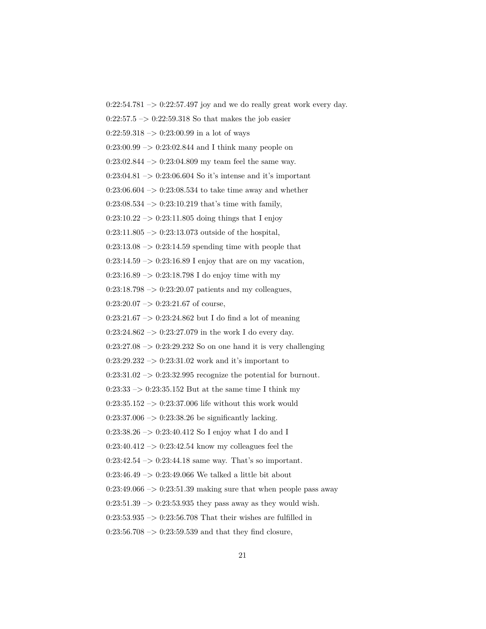$0:22:54.781 \rightarrow 0:22:57.497$  joy and we do really great work every day.  $0:22:57.5 \rightarrow 0:22:59.318$  So that makes the job easier  $0:22:59.318 \rightarrow 0:23:00.99$  in a lot of ways  $0:23:00.99 \rightarrow 0:23:02.844$  and I think many people on  $0:23:02.844 \rightarrow 0:23:04.809$  my team feel the same way.  $0:23:04.81 \rightarrow 0:23:06.604$  So it's intense and it's important  $0:23:06.604 \rightarrow 0:23:08.534$  to take time away and whether  $0:23:08.534 \rightarrow 0:23:10.219$  that's time with family,  $0:23:10.22 \rightarrow 0:23:11.805$  doing things that I enjoy  $0:23:11.805 \rightarrow 0:23:13.073$  outside of the hospital,  $0:23:13.08 \rightarrow 0:23:14.59$  spending time with people that  $0:23:14.59 \rightarrow 0:23:16.89$  I enjoy that are on my vacation,  $0:23:16.89 \rightarrow 0:23:18.798$  I do enjoy time with my  $0:23:18.798 \rightarrow 0:23:20.07$  patients and my colleagues,  $0:23:20.07 \rightarrow 0:23:21.67$  of course,  $0:23:21.67 \rightarrow 0:23:24.862$  but I do find a lot of meaning  $0:23:24.862 \rightarrow 0:23:27.079$  in the work I do every day.  $0:23:27.08 \rightarrow 0:23:29.232$  So on one hand it is very challenging  $0:23:29.232 \rightarrow 0:23:31.02$  work and it's important to  $0:23:31.02 \rightarrow 0:23:32.995$  recognize the potential for burnout.  $0:23:33 \rightarrow 0:23:35.152$  But at the same time I think my  $0:23:35.152 \rightarrow 0:23:37.006$  life without this work would  $0:23:37.006 \rightarrow 0:23:38.26$  be significantly lacking.  $0:23:38.26 \rightarrow 0:23:40.412$  So I enjoy what I do and I  $0:23:40.412 \rightarrow 0:23:42.54$  know my colleagues feel the  $0:23:42.54 \rightarrow 0:23:44.18$  same way. That's so important. 0:23:46.49  $\rightarrow$  0:23:49.066 We talked a little bit about  $0:23:49.066 \rightarrow 0:23:51.39$  making sure that when people pass away  $0:23:51.39 \rightarrow 0:23:53.935$  they pass away as they would wish.  $0:23:53.935 \rightarrow 0:23:56.708$  That their wishes are fulfilled in  $0:23:56.708 \rightarrow 0:23:59.539$  and that they find closure,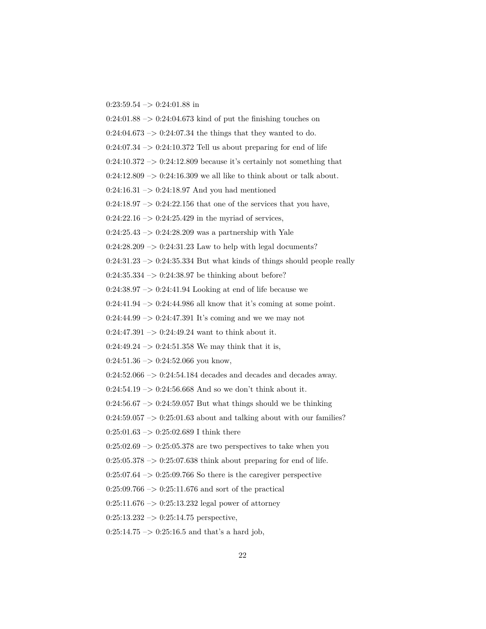$0:23:59.54 \rightarrow 0:24:01.88$  in

 $0:24:01.88 \rightarrow 0:24:04.673$  kind of put the finishing touches on

 $0:24:04.673 \rightarrow 0:24:07.34$  the things that they wanted to do.

 $0:24:07.34 \rightarrow 0:24:10.372$  Tell us about preparing for end of life

 $0:24:10.372 \rightarrow 0:24:12.809$  because it's certainly not something that

 $0:24:12.809 \rightarrow 0:24:16.309$  we all like to think about or talk about.

 $0:24:16.31 \rightarrow 0:24:18.97$  And you had mentioned

 $0:24:18.97 \rightarrow 0:24:22.156$  that one of the services that you have,

 $0:24:22.16 \rightarrow 0:24:25.429$  in the myriad of services,

 $0:24:25.43 \rightarrow 0:24:28.209$  was a partnership with Yale

 $0:24:28.209 \rightarrow 0:24:31.23$  Law to help with legal documents?

 $0:24:31.23 \rightarrow 0:24:35.334$  But what kinds of things should people really

 $0:24:35.334 \rightarrow 0:24:38.97$  be thinking about before?

 $0:24:38.97 \rightarrow 0:24:41.94$  Looking at end of life because we

 $0:24:41.94 \rightarrow 0:24:44.986$  all know that it's coming at some point.

 $0:24:44.99 \rightarrow 0:24:47.391$  It's coming and we we may not

 $0:24:47.391 \rightarrow 0:24:49.24$  want to think about it.

 $0:24:49.24 \rightarrow 0:24:51.358$  We may think that it is,

 $0:24:51.36 \rightarrow 0:24:52.066$  you know,

 $0:24:52.066 \rightarrow 0:24:54.184$  decades and decades away.

 $0:24:54.19 \rightarrow 0:24:56.668$  And so we don't think about it.

 $0:24:56.67 \rightarrow 0:24:59.057$  But what things should we be thinking

 $0:24:59.057 \rightarrow 0:25:01.63$  about and talking about with our families?

 $0:25:01.63 \rightarrow 0:25:02.689$  I think there

 $0.25:02.69 \rightarrow 0.25:05.378$  are two perspectives to take when you

 $0:25:05.378 \rightarrow 0:25:07.638$  think about preparing for end of life.

 $0:25:07.64 \rightarrow 0:25:09.766$  So there is the caregiver perspective

 $0:25:09.766 \rightarrow 0:25:11.676$  and sort of the practical

 $0:25:11.676 \rightarrow 0:25:13.232$  legal power of attorney

 $0:25:13.232 \rightarrow 0:25:14.75$  perspective,

 $0:25:14.75 \rightarrow 0:25:16.5$  and that's a hard job,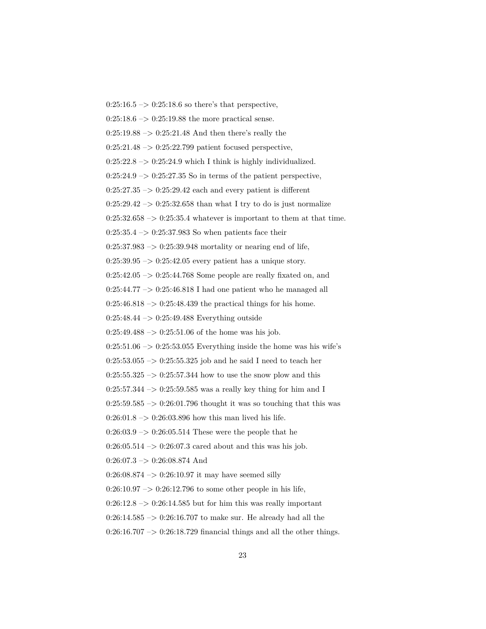$0:25:16.5 \rightarrow 0:25:18.6$  so there's that perspective,  $0:25:18.6 \rightarrow 0:25:19.88$  the more practical sense.  $0:25:19.88 \rightarrow 0:25:21.48$  And then there's really the  $0:25:21.48 \rightarrow 0:25:22.799$  patient focused perspective,  $0:25:22.8 \rightarrow 0:25:24.9$  which I think is highly individualized.  $0:25:24.9 \rightarrow 0:25:27.35$  So in terms of the patient perspective,  $0:25:27.35 \rightarrow 0:25:29.42$  each and every patient is different  $0:25:29.42 \rightarrow 0:25:32.658$  than what I try to do is just normalize  $0:25:32.658 \rightarrow 0:25:35.4$  whatever is important to them at that time.  $0:25:35.4 \rightarrow 0:25:37.983$  So when patients face their  $0:25:37.983 \rightarrow 0:25:39.948$  mortality or nearing end of life,  $0:25:39.95 \rightarrow 0:25:42.05$  every patient has a unique story.  $0:25:42.05 \rightarrow 0:25:44.768$  Some people are really fixated on, and  $0:25:44.77 \rightarrow 0:25:46.818$  I had one patient who he managed all  $0:25:46.818 \rightarrow 0:25:48.439$  the practical things for his home.  $0:25:48.44 \rightarrow 0:25:49.488$  Everything outside  $0:25:49.488 \rightarrow 0:25:51.06$  of the home was his job.  $0:25:51.06 \rightarrow 0:25:53.055$  Everything inside the home was his wife's  $0:25:53.055 \rightarrow 0:25:55.325$  job and he said I need to teach her  $0:25:55.325 \rightarrow 0:25:57.344$  how to use the snow plow and this  $0:25:57.344 \rightarrow 0:25:59.585$  was a really key thing for him and I  $0:25:59.585 \rightarrow 0:26:01.796$  thought it was so touching that this was  $0:26:01.8 \rightarrow 0:26:03.896$  how this man lived his life.  $0:26:03.9 \rightarrow 0:26:05.514$  These were the people that he  $0:26:05.514 \rightarrow 0:26:07.3$  cared about and this was his job.  $0:26:07.3 \rightarrow 0:26:08.874$  And  $0:26:08.874 \rightarrow 0:26:10.97$  it may have seemed silly  $0:26:10.97 \rightarrow 0:26:12.796$  to some other people in his life,  $0:26:12.8 \rightarrow 0:26:14.585$  but for him this was really important  $0:26:14.585 \rightarrow 0:26:16.707$  to make sur. He already had all the  $0:26:16.707 \rightarrow 0:26:18.729$  financial things and all the other things.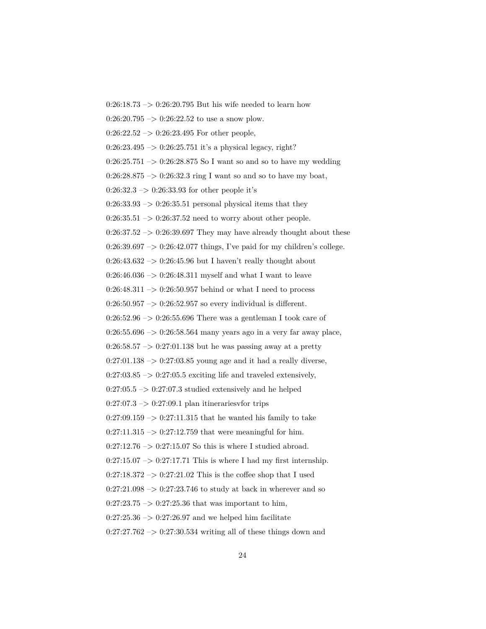$0:26:18.73 \rightarrow 0:26:20.795$  But his wife needed to learn how  $0:26:20.795 \rightarrow 0:26:22.52$  to use a snow plow.  $0:26:22.52 \rightarrow 0:26:23.495$  For other people,  $0:26:23.495 \rightarrow 0:26:25.751$  it's a physical legacy, right?  $0:26:25.751 \rightarrow 0:26:28.875$  So I want so and so to have my wedding  $0:26:28.875 \rightarrow 0:26:32.3$  ring I want so and so to have my boat,  $0:26:32.3 \rightarrow 0:26:33.93$  for other people it's  $0:26:33.93 \rightarrow 0:26:35.51$  personal physical items that they  $0:26:35.51 \rightarrow 0:26:37.52$  need to worry about other people.  $0:26:37.52 \rightarrow 0:26:39.697$  They may have already thought about these  $0:26:39.697 \rightarrow 0:26:42.077$  things, I've paid for my children's college.  $0:26:43.632 \rightarrow 0:26:45.96$  but I haven't really thought about 0:26:46.036  $\rightarrow$  0:26:48.311 myself and what I want to leave  $0:26:48.311 \rightarrow 0:26:50.957$  behind or what I need to process  $0:26:50.957 \rightarrow 0:26:52.957$  so every individual is different.  $0:26:52.96 \rightarrow 0:26:55.696$  There was a gentleman I took care of 0:26:55.696  $\rightarrow$  0:26:58.564 many years ago in a very far away place,  $0:26:58.57 \rightarrow 0:27:01.138$  but he was passing away at a pretty  $0:27:01.138 \rightarrow 0:27:03.85$  young age and it had a really diverse,  $0:27:03.85 \rightarrow 0:27:05.5$  exciting life and traveled extensively,  $0:27:05.5 \rightarrow 0:27:07.3$  studied extensively and he helped  $0:27:07.3 \rightarrow 0:27:09.1$  plan itinerariesvfor trips  $0:27:09.159 \rightarrow 0:27:11.315$  that he wanted his family to take  $0:27:11.315 \rightarrow 0:27:12.759$  that were meaningful for him.  $0:27:12.76 \rightarrow 0:27:15.07$  So this is where I studied abroad.  $0:27:15.07 \rightarrow 0:27:17.71$  This is where I had my first internship.  $0:27:18.372 \rightarrow 0:27:21.02$  This is the coffee shop that I used  $0:27:21.098 \rightarrow 0:27:23.746$  to study at back in wherever and so  $0:27:23.75 \rightarrow 0:27:25.36$  that was important to him,  $0:27:25.36 \rightarrow 0:27:26.97$  and we helped him facilitate  $0:27:27.762 \rightarrow 0:27:30.534$  writing all of these things down and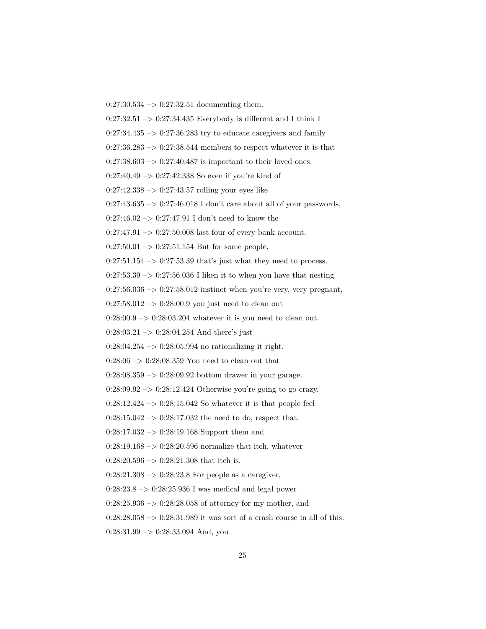$0:27:30.534 \rightarrow 0:27:32.51$  documenting them.

 $0:27:32.51 \rightarrow 0:27:34.435$  Everybody is different and I think I

 $0:27:34.435 \rightarrow 0:27:36.283$  try to educate caregivers and family

 $0:27:36.283 \rightarrow 0:27:38.544$  members to respect whatever it is that

 $0:27:38.603 \rightarrow 0:27:40.487$  is important to their loved ones.

 $0:27:40.49 \rightarrow 0:27:42.338$  So even if you're kind of

 $0:27:42.338 \rightarrow 0:27:43.57$  rolling your eyes like

 $0:27:43.635 \rightarrow 0:27:46.018$  I don't care about all of your passwords,

0:27:46.02  $\rightarrow$  0:27:47.91 I don't need to know the

 $0:27:47.91 \rightarrow 0:27:50.008$  last four of every bank account.

 $0:27:50.01 \rightarrow 0:27:51.154$  But for some people,

 $0:27:51.154 \rightarrow 0:27:53.39$  that's just what they need to process.

 $0:27:53.39 \rightarrow 0:27:56.036$  I liken it to when you have that nesting

 $0:27:56.036 \rightarrow 0:27:58.012$  instinct when you're very, very pregnant,

 $0:27:58.012 \rightarrow 0:28:00.9$  you just need to clean out

 $0:28:00.9 \rightarrow 0:28:03.204$  whatever it is you need to clean out.

 $0:28:03.21 \rightarrow 0:28:04.254$  And there's just

 $0:28:04.254 \rightarrow 0:28:05.994$  no rationalizing it right.

 $0:28:06 \rightarrow 0:28:08.359$  You need to clean out that

0:28:08.359 –> 0:28:09.92 bottom drawer in your garage.

 $0:28:09.92 \rightarrow 0:28:12.424$  Otherwise you're going to go crazy.

 $0:28:12.424 \rightarrow 0:28:15.042$  So whatever it is that people feel

 $0:28:15.042 \rightarrow 0:28:17.032$  the need to do, respect that.

0:28:17.032 –> 0:28:19.168 Support them and

 $0:28:19.168 \rightarrow 0:28:20.596$  normalize that itch, whatever

 $0:28:20.596 \rightarrow 0:28:21.308$  that itch is.

 $0:28:21.308 \rightarrow 0:28:23.8$  For people as a caregiver,

 $0:28:23.8 \rightarrow 0:28:25.936$  I was medical and legal power

 $0:28:25.936 \rightarrow 0:28:28.058$  of attorney for my mother, and

 $0:28:28.058 \rightarrow 0:28:31.989$  it was sort of a crash course in all of this.

 $0:28:31.99 \rightarrow 0:28:33.094$  And, you